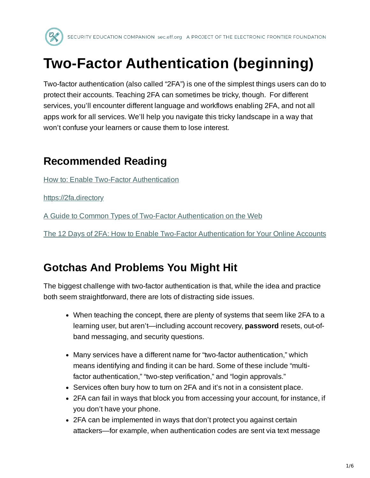

# **Two-Factor Authentication (beginning)**

Two-factor authentication (also called "2FA") is one of the simplest things users can do to protect their accounts. Teaching 2FA can sometimes be tricky, though. For different services, you'll encounter different language and workflows enabling 2FA, and not all apps work for all services. We'll help you navigate this tricky landscape in a way that won't confuse your learners or cause them to lose interest.

## **Recommended Reading**

How to: Enable Two-Factor [Authentication](https://ssd.eff.org/en/module/how-enable-two-factor-authentication)

[https://2fa.directory](https://2fa.directory/)

A Guide to Common Types of Two-Factor [Authentication](https://www.eff.org/deeplinks/2017/09/guide-common-types-two-factor-authentication-web) on the Web

The 12 Days of 2FA: How to Enable Two-Factor [Authentication](https://www.eff.org/deeplinks/2016/12/12-days-2fa-how-enable-two-factor-authentication-your-online-accounts) for Your Online Accounts

# **Gotchas And Problems You Might Hit**

The biggest challenge with two-factor authentication is that, while the idea and practice both seem straightforward, there are lots of distracting side issues.

- When teaching the concept, there are plenty of systems that seem like 2FA to a learning user, but aren't—including account recovery, **password** resets, out-ofband messaging, and security questions.
- Many services have a different name for "two-factor authentication," which means identifying and finding it can be hard. Some of these include "multifactor authentication," "two-step verification," and "login approvals."
- Services often bury how to turn on 2FA and it's not in a consistent place.
- 2FA can fail in ways that block you from accessing your account, for instance, if you don't have your phone.
- 2FA can be implemented in ways that don't protect you against certain attackers—for example, when authentication codes are sent via text message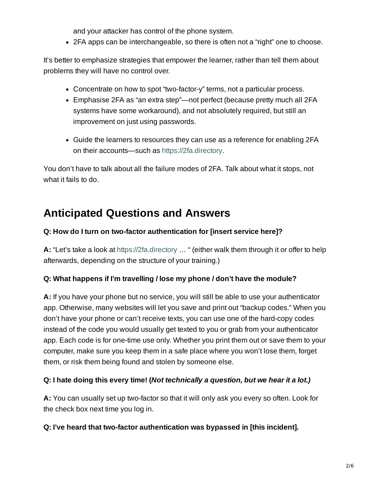and your attacker has control of the phone system.

2FA apps can be interchangeable, so there is often not a "right" one to choose.

It's better to emphasize strategies that empower the learner, rather than tell them about problems they will have no control over.

- Concentrate on how to spot "two-factor-y" terms, not a particular process.
- Emphasise 2FA as "an extra step"—not perfect (because pretty much all 2FA systems have some workaround), and not absolutely required, but still an improvement on just using passwords.
- Guide the learners to resources they can use as a reference for enabling 2FA on their accounts—such as [https://2fa.directory.](https://2fa.directory/)

You don't have to talk about all the failure modes of 2FA. Talk about what it stops, not what it fails to do.

# **Anticipated Questions and Answers**

#### **Q: How do I turn on two-factor authentication for [insert service here]?**

**A:** "Let's take a look at [https://2fa.directory](https://2fa.directory/) … " (either walk them through it or offer to help afterwards, depending on the structure of your training.)

#### **Q: What happens if I'm travelling / lose my phone / don't have the module?**

**A:** If you have your phone but no service, you will still be able to use your authenticator app. Otherwise, many websites will let you save and print out "backup codes." When you don't have your phone or can't receive texts, you can use one of the hard-copy codes instead of the code you would usually get texted to you or grab from your authenticator app. Each code is for one-time use only. Whether you print them out or save them to your computer, make sure you keep them in a safe place where you won't lose them, forget them, or risk them being found and stolen by someone else.

#### **Q: I hate doing this every time! (***Not technically a question, but we hear it a lot.)*

**A:** You can usually set up two-factor so that it will only ask you every so often. Look for the check box next time you log in.

#### **Q: I've heard that two-factor authentication was bypassed in [this incident].**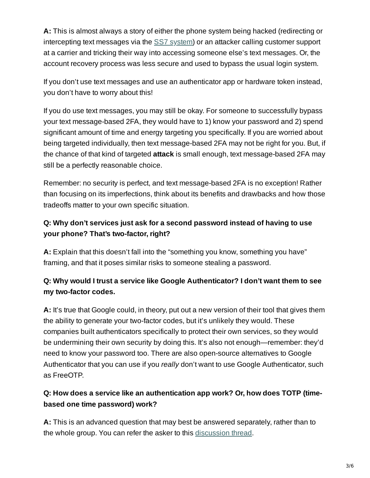**A:** This is almost always a story of either the phone system being hacked (redirecting or intercepting text messages via the SS7 [system\)](https://www.eff.org/deeplinks/2017/09/guide-common-types-two-factor-authentication-web) or an attacker calling customer support at a carrier and tricking their way into accessing someone else's text messages. Or, the account recovery process was less secure and used to bypass the usual login system.

If you don't use text messages and use an authenticator app or hardware token instead, you don't have to worry about this!

If you do use text messages, you may still be okay. For someone to successfully bypass your text message-based 2FA, they would have to 1) know your password and 2) spend significant amount of time and energy targeting you specifically. If you are worried about being targeted individually, then text message-based 2FA may not be right for you. But, if the chance of that kind of targeted **attack** is small enough, text message-based 2FA may still be a perfectly reasonable choice.

Remember: no security is perfect, and text message-based 2FA is no exception! Rather than focusing on its imperfections, think about its benefits and drawbacks and how those tradeoffs matter to your own specific situation.

### **Q: Why don't services just ask for a second password instead of having to use your phone? That's two-factor, right?**

**A:** Explain that this doesn't fall into the "something you know, something you have" framing, and that it poses similar risks to someone stealing a password.

### **Q: Why would I trust a service like Google Authenticator? I don't want them to see my two-factor codes.**

**A:** It's true that Google could, in theory, put out a new version of their tool that gives them the ability to generate your two-factor codes, but it's unlikely they would. These companies built authenticators specifically to protect their own services, so they would be undermining their own security by doing this. It's also not enough—remember: they'd need to know your password too. There are also open-source alternatives to Google Authenticator that you can use if you *really* don't want to use Google Authenticator, such as FreeOTP.

### **Q: How does a service like an authentication app work? Or, how does TOTP (timebased one time password) work?**

**A:** This is an advanced question that may best be answered separately, rather than to the whole group. You can refer the asker to this [discussion](https://security.stackexchange.com/questions/35157/how-does-google-authenticator-work) thread.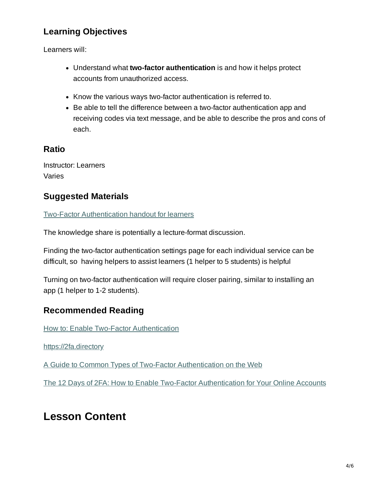### **Learning Objectives**

Learners will:

- Understand what **two-factor authentication** is and how it helps protect accounts from unauthorized access.
- Know the various ways two-factor authentication is referred to.
- Be able to tell the difference between a two-factor authentication app and receiving codes via text message, and be able to describe the pros and cons of each.

#### **Ratio**

Instructor: Learners Varies

### **Suggested Materials**

Two-Factor [Authentication](https://sec.eff.org/materials/two-factor-authentication-handout-for-learners) handout for learners

The knowledge share is potentially a lecture-format discussion.

Finding the two-factor authentication settings page for each individual service can be difficult, so having helpers to assist learners (1 helper to 5 students) is helpful

Turning on two-factor authentication will require closer pairing, similar to installing an app (1 helper to 1-2 students).

### **Recommended Reading**

How to: Enable Two-Factor [Authentication](https://ssd.eff.org/en/module/how-enable-two-factor-authentication)

[https://2fa.directory](https://2fa.directory/)

A Guide to Common Types of Two-Factor [Authentication](https://www.eff.org/deeplinks/2017/09/guide-common-types-two-factor-authentication-web) on the Web

The 12 Days of 2FA: How to Enable Two-Factor [Authentication](https://www.eff.org/deeplinks/2016/12/12-days-2fa-how-enable-two-factor-authentication-your-online-accounts) for Your Online Accounts

## **Lesson Content**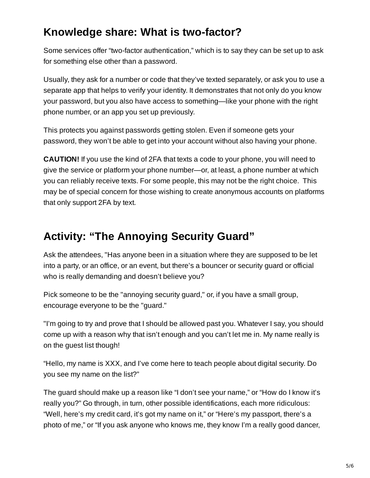# **Knowledge share: What is two-factor?**

Some services offer "two-factor authentication," which is to say they can be set up to ask for something else other than a password.

Usually, they ask for a number or code that they've texted separately, or ask you to use a separate app that helps to verify your identity. It demonstrates that not only do you know your password, but you also have access to something—like your phone with the right phone number, or an app you set up previously.

This protects you against passwords getting stolen. Even if someone gets your password, they won't be able to get into your account without also having your phone.

**CAUTION!** If you use the kind of 2FA that texts a code to your phone, you will need to give the service or platform your phone number—or, at least, a phone number at which you can reliably receive texts. For some people, this may not be the right choice. This may be of special concern for those wishing to create anonymous accounts on platforms that only support 2FA by text.

# **Activity: "The Annoying Security Guard"**

Ask the attendees, "Has anyone been in a situation where they are supposed to be let into a party, or an office, or an event, but there's a bouncer or security guard or official who is really demanding and doesn't believe you?

Pick someone to be the "annoying security guard," or, if you have a small group, encourage everyone to be the "guard."

"I'm going to try and prove that I should be allowed past you. Whatever I say, you should come up with a reason why that isn't enough and you can't let me in. My name really is on the guest list though!

"Hello, my name is XXX, and I've come here to teach people about digital security. Do you see my name on the list?"

The guard should make up a reason like "I don't see your name," or "How do I know it's really you?" Go through, in turn, other possible identifications, each more ridiculous: "Well, here's my credit card, it's got my name on it," or "Here's my passport, there's a photo of me," or "If you ask anyone who knows me, they know I'm a really good dancer,